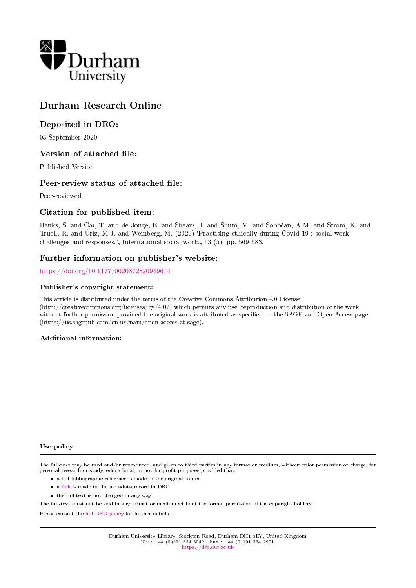

# Durham Research Online

# Deposited in DRO:

03 September 2020

### Version of attached file:

Published Version

### Peer-review status of attached file:

Peer-reviewed

### Citation for published item:

Banks, S. and Cai, T. and de Jonge, E. and Shears, J. and Shum, M. and Sobocan, A.M. and Strom, K. and Truell, R. and Uriz, M.J. and Weinberg, M. (2020) 'Practising ethically during Covid-19 : social work challenges and responses.', International social work., 63 (5). pp. 569-583.

### Further information on publisher's website:

<https://doi.org/10.1177/0020872820949614>

### Publisher's copyright statement:

This article is distributed under the terms of the Creative Commons Attribution 4.0 License (http://creativecommons.org/licenses/by/4.0/) which permits any use, reproduction and distribution of the work without further permission provided the original work is attributed as specified on the SAGE and Open Access page (https://us.sagepub.com/en-us/nam/open-access-at-sage).

### Additional information:

#### Use policy

The full-text may be used and/or reproduced, and given to third parties in any format or medium, without prior permission or charge, for personal research or study, educational, or not-for-profit purposes provided that:

- a full bibliographic reference is made to the original source
- a [link](http://dro.dur.ac.uk/31566/) is made to the metadata record in DRO
- the full-text is not changed in any way

The full-text must not be sold in any format or medium without the formal permission of the copyright holders.

Please consult the [full DRO policy](https://dro.dur.ac.uk/policies/usepolicy.pdf) for further details.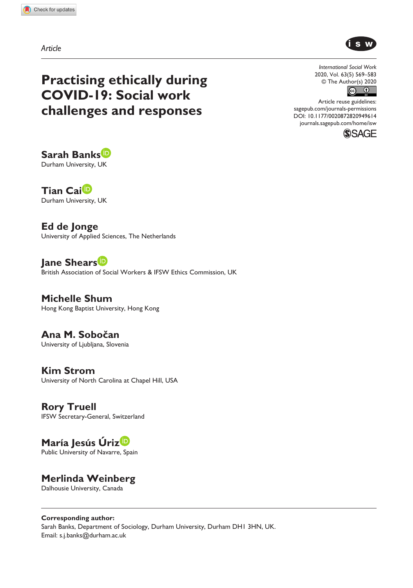*Article*



# **Practising ethically during COVID-19: Social work challenges and responses**

*International Social Work* 2020, Vol. 63(5) 569–583  $\circledcirc$  The Author(s) 2020



DOI: 10.1177/0020872820949614 Article reuse guidelines: [sagepub.com/journals-permissions](https://uk.sagepub.com/en-gb/journals-permissions) [journals.sagepub.com/home/isw](https://journals.sagepub.com/home/isw)



**Sarah Banks** Durham University, UK

**Tian Cai** Durham University, UK

**Ed de Jonge** University of Applied Sciences, The Netherlands

**Jane Shears** British Association of Social Workers & IFSW Ethics Commission, UK

**Michelle Shum** Hong Kong Baptist University, Hong Kong

**Ana M. Sobočan** University of Ljubljana, Slovenia

**Kim Strom** University of North Carolina at Chapel Hill, USA

**Rory Truell** IFSW Secretary-General, Switzerland

**María Jesús Úriz** Public University of Navarre, Spain

# **Merlinda Weinberg**

Dalhousie University, Canada

**Corresponding author:**

Sarah Banks, Department of Sociology, Durham University, Durham DH1 3HN, UK. Email: [s.j.banks@durham.ac.uk](mailto:s.j.banks@durham.ac.uk)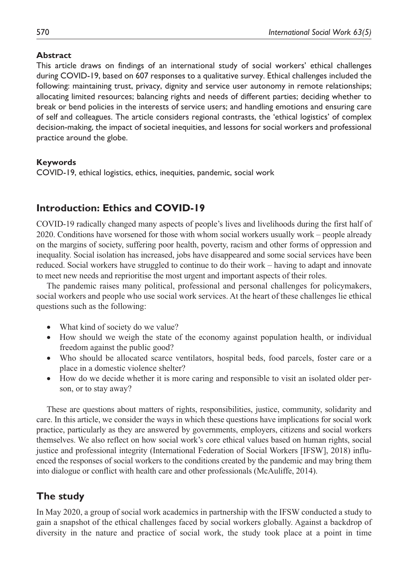### **Abstract**

This article draws on findings of an international study of social workers' ethical challenges during COVID-19, based on 607 responses to a qualitative survey. Ethical challenges included the following: maintaining trust, privacy, dignity and service user autonomy in remote relationships; allocating limited resources; balancing rights and needs of different parties; deciding whether to break or bend policies in the interests of service users; and handling emotions and ensuring care of self and colleagues. The article considers regional contrasts, the 'ethical logistics' of complex decision-making, the impact of societal inequities, and lessons for social workers and professional practice around the globe.

### **Keywords**

COVID-19, ethical logistics, ethics, inequities, pandemic, social work

# **Introduction: Ethics and COVID-19**

COVID-19 radically changed many aspects of people's lives and livelihoods during the first half of 2020. Conditions have worsened for those with whom social workers usually work – people already on the margins of society, suffering poor health, poverty, racism and other forms of oppression and inequality. Social isolation has increased, jobs have disappeared and some social services have been reduced. Social workers have struggled to continue to do their work – having to adapt and innovate to meet new needs and reprioritise the most urgent and important aspects of their roles.

The pandemic raises many political, professional and personal challenges for policymakers, social workers and people who use social work services. At the heart of these challenges lie ethical questions such as the following:

- What kind of society do we value?
- How should we weigh the state of the economy against population health, or individual freedom against the public good?
- Who should be allocated scarce ventilators, hospital beds, food parcels, foster care or a place in a domestic violence shelter?
- How do we decide whether it is more caring and responsible to visit an isolated older person, or to stay away?

These are questions about matters of rights, responsibilities, justice, community, solidarity and care. In this article, we consider the ways in which these questions have implications for social work practice, particularly as they are answered by governments, employers, citizens and social workers themselves. We also reflect on how social work's core ethical values based on human rights, social justice and professional integrity (International Federation of Social Workers [IFSW], 2018) influenced the responses of social workers to the conditions created by the pandemic and may bring them into dialogue or conflict with health care and other professionals (McAuliffe, 2014).

# **The study**

In May 2020, a group of social work academics in partnership with the IFSW conducted a study to gain a snapshot of the ethical challenges faced by social workers globally. Against a backdrop of diversity in the nature and practice of social work, the study took place at a point in time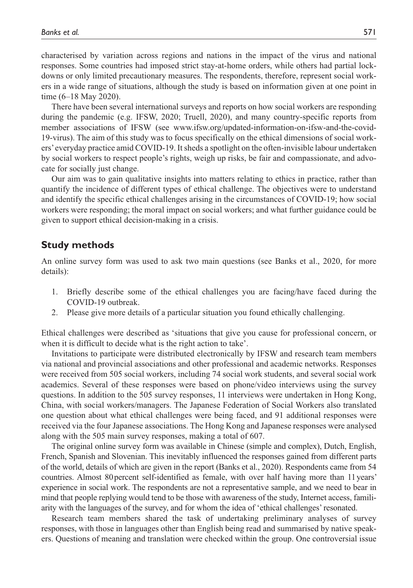characterised by variation across regions and nations in the impact of the virus and national responses. Some countries had imposed strict stay-at-home orders, while others had partial lockdowns or only limited precautionary measures. The respondents, therefore, represent social workers in a wide range of situations, although the study is based on information given at one point in time (6–18 May 2020).

There have been several international surveys and reports on how social workers are responding during the pandemic (e.g. IFSW, 2020; Truell, 2020), and many country-specific reports from member associations of IFSW (see [www.ifsw.org/updated-information-on-ifsw-and-the-covid-](www.ifsw.org/updated-information-on-ifsw-and-the-covid-19-virus)[19-virus\)](www.ifsw.org/updated-information-on-ifsw-and-the-covid-19-virus). The aim of this study was to focus specifically on the ethical dimensions of social workers' everyday practice amid COVID-19. It sheds a spotlight on the often-invisible labour undertaken by social workers to respect people's rights, weigh up risks, be fair and compassionate, and advocate for socially just change.

Our aim was to gain qualitative insights into matters relating to ethics in practice, rather than quantify the incidence of different types of ethical challenge. The objectives were to understand and identify the specific ethical challenges arising in the circumstances of COVID-19; how social workers were responding; the moral impact on social workers; and what further guidance could be given to support ethical decision-making in a crisis.

#### **Study methods**

An online survey form was used to ask two main questions (see Banks et al., 2020, for more details):

- 1. Briefly describe some of the ethical challenges you are facing/have faced during the COVID-19 outbreak.
- 2. Please give more details of a particular situation you found ethically challenging.

Ethical challenges were described as 'situations that give you cause for professional concern, or when it is difficult to decide what is the right action to take'.

Invitations to participate were distributed electronically by IFSW and research team members via national and provincial associations and other professional and academic networks. Responses were received from 505 social workers, including 74 social work students, and several social work academics. Several of these responses were based on phone/video interviews using the survey questions. In addition to the 505 survey responses, 11 interviews were undertaken in Hong Kong, China, with social workers/managers. The Japanese Federation of Social Workers also translated one question about what ethical challenges were being faced, and 91 additional responses were received via the four Japanese associations. The Hong Kong and Japanese responses were analysed along with the 505 main survey responses, making a total of 607.

The original online survey form was available in Chinese (simple and complex), Dutch, English, French, Spanish and Slovenian. This inevitably influenced the responses gained from different parts of the world, details of which are given in the report (Banks et al., 2020). Respondents came from 54 countries. Almost 80percent self-identified as female, with over half having more than 11years' experience in social work. The respondents are not a representative sample, and we need to bear in mind that people replying would tend to be those with awareness of the study, Internet access, familiarity with the languages of the survey, and for whom the idea of 'ethical challenges' resonated.

Research team members shared the task of undertaking preliminary analyses of survey responses, with those in languages other than English being read and summarised by native speakers. Questions of meaning and translation were checked within the group. One controversial issue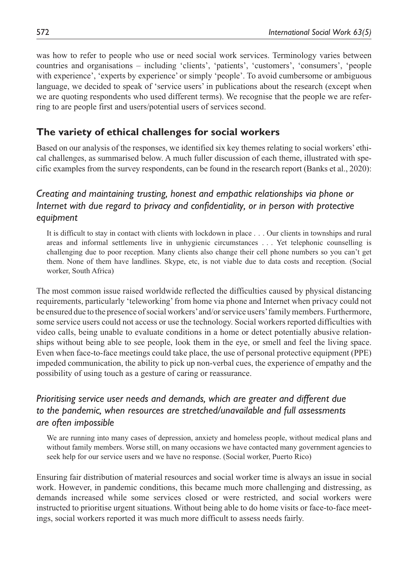was how to refer to people who use or need social work services. Terminology varies between countries and organisations – including 'clients', 'patients', 'customers', 'consumers', 'people with experience', 'experts by experience' or simply 'people'. To avoid cumbersome or ambiguous language, we decided to speak of 'service users' in publications about the research (except when we are quoting respondents who used different terms). We recognise that the people we are referring to are people first and users/potential users of services second.

### **The variety of ethical challenges for social workers**

Based on our analysis of the responses, we identified six key themes relating to social workers' ethical challenges, as summarised below. A much fuller discussion of each theme, illustrated with specific examples from the survey respondents, can be found in the research report (Banks et al., 2020):

# *Creating and maintaining trusting, honest and empathic relationships via phone or Internet with due regard to privacy and confidentiality, or in person with protective equipment*

It is difficult to stay in contact with clients with lockdown in place . . . Our clients in townships and rural areas and informal settlements live in unhygienic circumstances . . . Yet telephonic counselling is challenging due to poor reception. Many clients also change their cell phone numbers so you can't get them. None of them have landlines. Skype, etc, is not viable due to data costs and reception. (Social worker, South Africa)

The most common issue raised worldwide reflected the difficulties caused by physical distancing requirements, particularly 'teleworking' from home via phone and Internet when privacy could not be ensured due to the presence of social workers' and/or service users' family members. Furthermore, some service users could not access or use the technology. Social workers reported difficulties with video calls, being unable to evaluate conditions in a home or detect potentially abusive relationships without being able to see people, look them in the eye, or smell and feel the living space. Even when face-to-face meetings could take place, the use of personal protective equipment (PPE) impeded communication, the ability to pick up non-verbal cues, the experience of empathy and the possibility of using touch as a gesture of caring or reassurance.

# *Prioritising service user needs and demands, which are greater and different due to the pandemic, when resources are stretched/unavailable and full assessments are often impossible*

We are running into many cases of depression, anxiety and homeless people, without medical plans and without family members. Worse still, on many occasions we have contacted many government agencies to seek help for our service users and we have no response. (Social worker, Puerto Rico)

Ensuring fair distribution of material resources and social worker time is always an issue in social work. However, in pandemic conditions, this became much more challenging and distressing, as demands increased while some services closed or were restricted, and social workers were instructed to prioritise urgent situations. Without being able to do home visits or face-to-face meetings, social workers reported it was much more difficult to assess needs fairly.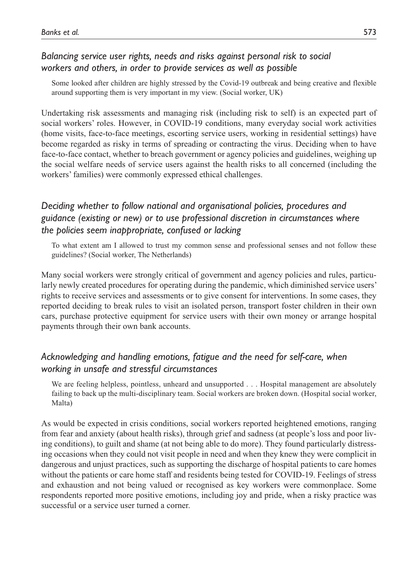### *Balancing service user rights, needs and risks against personal risk to social workers and others, in order to provide services as well as possible*

Some looked after children are highly stressed by the Covid-19 outbreak and being creative and flexible around supporting them is very important in my view. (Social worker, UK)

Undertaking risk assessments and managing risk (including risk to self) is an expected part of social workers' roles. However, in COVID-19 conditions, many everyday social work activities (home visits, face-to-face meetings, escorting service users, working in residential settings) have become regarded as risky in terms of spreading or contracting the virus. Deciding when to have face-to-face contact, whether to breach government or agency policies and guidelines, weighing up the social welfare needs of service users against the health risks to all concerned (including the workers' families) were commonly expressed ethical challenges.

### *Deciding whether to follow national and organisational policies, procedures and guidance (existing or new) or to use professional discretion in circumstances where the policies seem inappropriate, confused or lacking*

To what extent am I allowed to trust my common sense and professional senses and not follow these guidelines? (Social worker, The Netherlands)

Many social workers were strongly critical of government and agency policies and rules, particularly newly created procedures for operating during the pandemic, which diminished service users' rights to receive services and assessments or to give consent for interventions. In some cases, they reported deciding to break rules to visit an isolated person, transport foster children in their own cars, purchase protective equipment for service users with their own money or arrange hospital payments through their own bank accounts.

### *Acknowledging and handling emotions, fatigue and the need for self-care, when working in unsafe and stressful circumstances*

We are feeling helpless, pointless, unheard and unsupported . . . Hospital management are absolutely failing to back up the multi-disciplinary team. Social workers are broken down. (Hospital social worker, Malta)

As would be expected in crisis conditions, social workers reported heightened emotions, ranging from fear and anxiety (about health risks), through grief and sadness (at people's loss and poor living conditions), to guilt and shame (at not being able to do more). They found particularly distressing occasions when they could not visit people in need and when they knew they were complicit in dangerous and unjust practices, such as supporting the discharge of hospital patients to care homes without the patients or care home staff and residents being tested for COVID-19. Feelings of stress and exhaustion and not being valued or recognised as key workers were commonplace. Some respondents reported more positive emotions, including joy and pride, when a risky practice was successful or a service user turned a corner.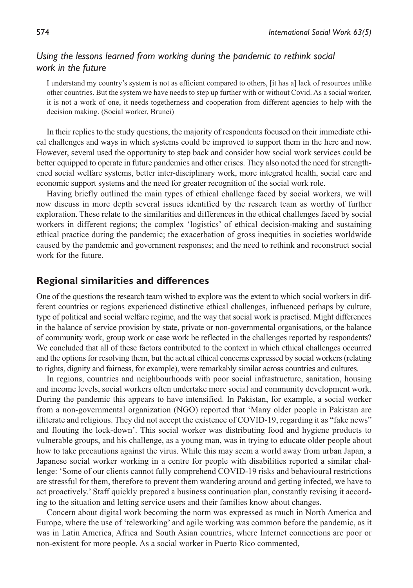### Using the lessons learned from working during the pandemic to rethink social *work in the future*

I understand my country's system is not as efficient compared to others, [it has a] lack of resources unlike other countries. But the system we have needs to step up further with or without Covid. As a social worker, it is not a work of one, it needs togetherness and cooperation from different agencies to help with the decision making. (Social worker, Brunei)

In their replies to the study questions, the majority of respondents focused on their immediate ethical challenges and ways in which systems could be improved to support them in the here and now. However, several used the opportunity to step back and consider how social work services could be better equipped to operate in future pandemics and other crises. They also noted the need for strengthened social welfare systems, better inter-disciplinary work, more integrated health, social care and economic support systems and the need for greater recognition of the social work role.

Having briefly outlined the main types of ethical challenge faced by social workers, we will now discuss in more depth several issues identified by the research team as worthy of further exploration. These relate to the similarities and differences in the ethical challenges faced by social workers in different regions; the complex 'logistics' of ethical decision-making and sustaining ethical practice during the pandemic; the exacerbation of gross inequities in societies worldwide caused by the pandemic and government responses; and the need to rethink and reconstruct social work for the future.

#### **Regional similarities and differences**

One of the questions the research team wished to explore was the extent to which social workers in different countries or regions experienced distinctive ethical challenges, influenced perhaps by culture, type of political and social welfare regime, and the way that social work is practised. Might differences in the balance of service provision by state, private or non-governmental organisations, or the balance of community work, group work or case work be reflected in the challenges reported by respondents? We concluded that all of these factors contributed to the context in which ethical challenges occurred and the options for resolving them, but the actual ethical concerns expressed by social workers (relating to rights, dignity and fairness, for example), were remarkably similar across countries and cultures.

In regions, countries and neighbourhoods with poor social infrastructure, sanitation, housing and income levels, social workers often undertake more social and community development work. During the pandemic this appears to have intensified. In Pakistan, for example, a social worker from a non-governmental organization (NGO) reported that 'Many older people in Pakistan are illiterate and religious. They did not accept the existence of COVID-19, regarding it as "fake news" and flouting the lock-down'. This social worker was distributing food and hygiene products to vulnerable groups, and his challenge, as a young man, was in trying to educate older people about how to take precautions against the virus. While this may seem a world away from urban Japan, a Japanese social worker working in a centre for people with disabilities reported a similar challenge: 'Some of our clients cannot fully comprehend COVID-19 risks and behavioural restrictions are stressful for them, therefore to prevent them wandering around and getting infected, we have to act proactively.' Staff quickly prepared a business continuation plan, constantly revising it according to the situation and letting service users and their families know about changes.

Concern about digital work becoming the norm was expressed as much in North America and Europe, where the use of 'teleworking' and agile working was common before the pandemic, as it was in Latin America, Africa and South Asian countries, where Internet connections are poor or non-existent for more people. As a social worker in Puerto Rico commented,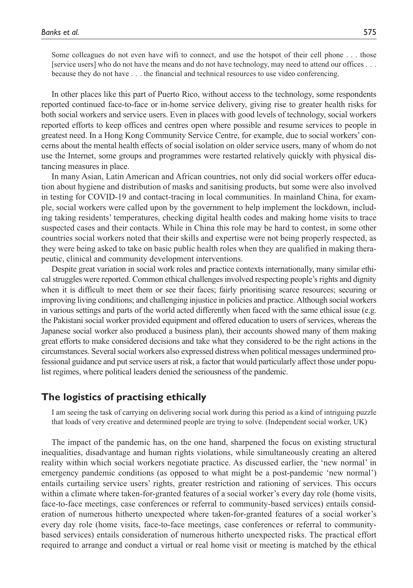Some colleagues do not even have wifi to connect, and use the hotspot of their cell phone . . . those [service users] who do not have the means and do not have technology, may need to attend our offices . . . because they do not have . . . the financial and technical resources to use video conferencing.

In other places like this part of Puerto Rico, without access to the technology, some respondents reported continued face-to-face or in-home service delivery, giving rise to greater health risks for both social workers and service users. Even in places with good levels of technology, social workers reported efforts to keep offices and centres open where possible and resume services to people in greatest need. In a Hong Kong Community Service Centre, for example, due to social workers' concerns about the mental health effects of social isolation on older service users, many of whom do not use the Internet, some groups and programmes were restarted relatively quickly with physical distancing measures in place.

In many Asian, Latin American and African countries, not only did social workers offer education about hygiene and distribution of masks and sanitising products, but some were also involved in testing for COVID-19 and contact-tracing in local communities. In mainland China, for example, social workers were called upon by the government to help implement the lockdown, including taking residents' temperatures, checking digital health codes and making home visits to trace suspected cases and their contacts. While in China this role may be hard to contest, in some other countries social workers noted that their skills and expertise were not being properly respected, as they were being asked to take on basic public health roles when they are qualified in making therapeutic, clinical and community development interventions.

Despite great variation in social work roles and practice contexts internationally, many similar ethical struggles were reported. Common ethical challenges involved respecting people's rights and dignity when it is difficult to meet them or see their faces; fairly prioritising scarce resources; securing or improving living conditions; and challenging injustice in policies and practice. Although social workers in various settings and parts of the world acted differently when faced with the same ethical issue (e.g. the Pakistani social worker provided equipment and offered education to users of services, whereas the Japanese social worker also produced a business plan), their accounts showed many of them making great efforts to make considered decisions and take what they considered to be the right actions in the circumstances. Several social workers also expressed distress when political messages undermined professional guidance and put service users at risk, a factor that would particularly affect those under populist regimes, where political leaders denied the seriousness of the pandemic.

### **The logistics of practising ethically**

I am seeing the task of carrying on delivering social work during this period as a kind of intriguing puzzle that loads of very creative and determined people are trying to solve. (Independent social worker, UK)

The impact of the pandemic has, on the one hand, sharpened the focus on existing structural inequalities, disadvantage and human rights violations, while simultaneously creating an altered reality within which social workers negotiate practice. As discussed earlier, the 'new normal' in emergency pandemic conditions (as opposed to what might be a post-pandemic 'new normal') entails curtailing service users' rights, greater restriction and rationing of services. This occurs within a climate where taken-for-granted features of a social worker's every day role (home visits, face-to-face meetings, case conferences or referral to community-based services) entails consideration of numerous hitherto unexpected where taken-for-granted features of a social worker's every day role (home visits, face-to-face meetings, case conferences or referral to communitybased services) entails consideration of numerous hitherto unexpected risks. The practical effort required to arrange and conduct a virtual or real home visit or meeting is matched by the ethical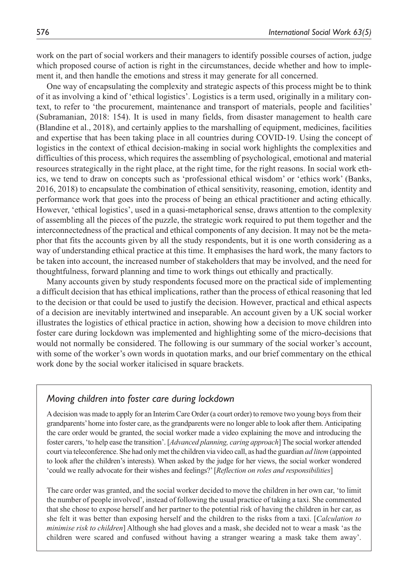work on the part of social workers and their managers to identify possible courses of action, judge which proposed course of action is right in the circumstances, decide whether and how to implement it, and then handle the emotions and stress it may generate for all concerned.

One way of encapsulating the complexity and strategic aspects of this process might be to think of it as involving a kind of 'ethical logistics'. Logistics is a term used, originally in a military context, to refer to 'the procurement, maintenance and transport of materials, people and facilities' (Subramanian, 2018: 154). It is used in many fields, from disaster management to health care (Blandine et al., 2018), and certainly applies to the marshalling of equipment, medicines, facilities and expertise that has been taking place in all countries during COVID-19. Using the concept of logistics in the context of ethical decision-making in social work highlights the complexities and difficulties of this process, which requires the assembling of psychological, emotional and material resources strategically in the right place, at the right time, for the right reasons. In social work ethics, we tend to draw on concepts such as 'professional ethical wisdom' or 'ethics work' (Banks, 2016, 2018) to encapsulate the combination of ethical sensitivity, reasoning, emotion, identity and performance work that goes into the process of being an ethical practitioner and acting ethically. However, 'ethical logistics', used in a quasi-metaphorical sense, draws attention to the complexity of assembling all the pieces of the puzzle, the strategic work required to put them together and the interconnectedness of the practical and ethical components of any decision. It may not be the metaphor that fits the accounts given by all the study respondents, but it is one worth considering as a way of understanding ethical practice at this time. It emphasises the hard work, the many factors to be taken into account, the increased number of stakeholders that may be involved, and the need for thoughtfulness, forward planning and time to work things out ethically and practically.

Many accounts given by study respondents focused more on the practical side of implementing a difficult decision that has ethical implications, rather than the process of ethical reasoning that led to the decision or that could be used to justify the decision. However, practical and ethical aspects of a decision are inevitably intertwined and inseparable. An account given by a UK social worker illustrates the logistics of ethical practice in action, showing how a decision to move children into foster care during lockdown was implemented and highlighting some of the micro-decisions that would not normally be considered. The following is our summary of the social worker's account, with some of the worker's own words in quotation marks, and our brief commentary on the ethical work done by the social worker italicised in square brackets.

#### *Moving children into foster care during lockdown*

A decision was made to apply for an Interim Care Order (a court order) to remove two young boys from their grandparents' home into foster care, as the grandparents were no longer able to look after them. Anticipating the care order would be granted, the social worker made a video explaining the move and introducing the foster carers, 'to help ease the transition'. [*Advanced planning, caring approach*] The social worker attended court via teleconference. She had only met the children via video call, as had the guardian *ad litem* (appointed to look after the children's interests). When asked by the judge for her views, the social worker wondered 'could we really advocate for their wishes and feelings?' [*Reflection on roles and responsibilities*]

The care order was granted, and the social worker decided to move the children in her own car, 'to limit the number of people involved', instead of following the usual practice of taking a taxi. She commented that she chose to expose herself and her partner to the potential risk of having the children in her car, as she felt it was better than exposing herself and the children to the risks from a taxi. [*Calculation to minimise risk to children*] Although she had gloves and a mask, she decided not to wear a mask 'as the children were scared and confused without having a stranger wearing a mask take them away'.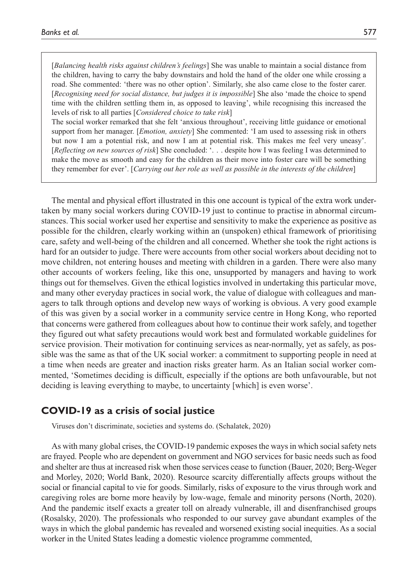[*Balancing health risks against children's feelings*] She was unable to maintain a social distance from the children, having to carry the baby downstairs and hold the hand of the older one while crossing a road. She commented: 'there was no other option'. Similarly, she also came close to the foster carer. [*Recognising need for social distance, but judges it is impossible*] She also 'made the choice to spend time with the children settling them in, as opposed to leaving', while recognising this increased the levels of risk to all parties [*Considered choice to take risk*]

The social worker remarked that she felt 'anxious throughout', receiving little guidance or emotional support from her manager. [*Emotion, anxiety*] She commented: 'I am used to assessing risk in others but now I am a potential risk, and now I am at potential risk. This makes me feel very uneasy'. [*Reflecting on new sources of risk*] She concluded: '. . . despite how I was feeling I was determined to make the move as smooth and easy for the children as their move into foster care will be something they remember for ever'. [*Carrying out her role as well as possible in the interests of the children*]

The mental and physical effort illustrated in this one account is typical of the extra work undertaken by many social workers during COVID-19 just to continue to practise in abnormal circumstances. This social worker used her expertise and sensitivity to make the experience as positive as possible for the children, clearly working within an (unspoken) ethical framework of prioritising care, safety and well-being of the children and all concerned. Whether she took the right actions is hard for an outsider to judge. There were accounts from other social workers about deciding not to move children, not entering houses and meeting with children in a garden. There were also many other accounts of workers feeling, like this one, unsupported by managers and having to work things out for themselves. Given the ethical logistics involved in undertaking this particular move, and many other everyday practices in social work, the value of dialogue with colleagues and managers to talk through options and develop new ways of working is obvious. A very good example of this was given by a social worker in a community service centre in Hong Kong, who reported that concerns were gathered from colleagues about how to continue their work safely, and together they figured out what safety precautions would work best and formulated workable guidelines for service provision. Their motivation for continuing services as near-normally, yet as safely, as possible was the same as that of the UK social worker: a commitment to supporting people in need at a time when needs are greater and inaction risks greater harm. As an Italian social worker commented, 'Sometimes deciding is difficult, especially if the options are both unfavourable, but not deciding is leaving everything to maybe, to uncertainty [which] is even worse'.

### **COVID-19 as a crisis of social justice**

Viruses don't discriminate, societies and systems do. (Schalatek, 2020)

As with many global crises, the COVID-19 pandemic exposes the ways in which social safety nets are frayed. People who are dependent on government and NGO services for basic needs such as food and shelter are thus at increased risk when those services cease to function (Bauer, 2020; Berg-Weger and Morley, 2020; World Bank, 2020). Resource scarcity differentially affects groups without the social or financial capital to vie for goods. Similarly, risks of exposure to the virus through work and caregiving roles are borne more heavily by low-wage, female and minority persons (North, 2020). And the pandemic itself exacts a greater toll on already vulnerable, ill and disenfranchised groups (Rosalsky, 2020). The professionals who responded to our survey gave abundant examples of the ways in which the global pandemic has revealed and worsened existing social inequities. As a social worker in the United States leading a domestic violence programme commented,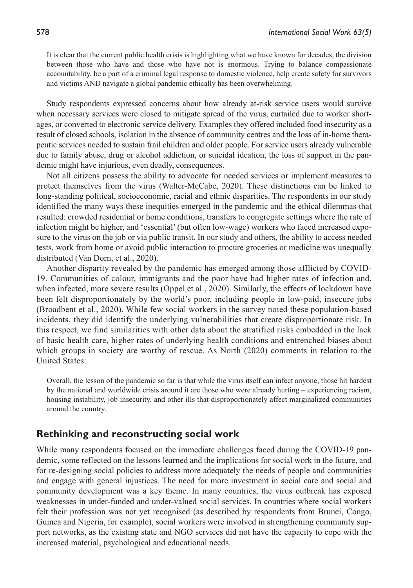It is clear that the current public health crisis is highlighting what we have known for decades, the division between those who have and those who have not is enormous. Trying to balance compassionate accountability, be a part of a criminal legal response to domestic violence, help create safety for survivors and victims AND navigate a global pandemic ethically has been overwhelming.

Study respondents expressed concerns about how already at-risk service users would survive when necessary services were closed to mitigate spread of the virus, curtailed due to worker shortages, or converted to electronic service delivery. Examples they offered included food insecurity as a result of closed schools, isolation in the absence of community centres and the loss of in-home therapeutic services needed to sustain frail children and older people. For service users already vulnerable due to family abuse, drug or alcohol addiction, or suicidal ideation, the loss of support in the pandemic might have injurious, even deadly, consequences.

Not all citizens possess the ability to advocate for needed services or implement measures to protect themselves from the virus (Walter-McCabe, 2020). These distinctions can be linked to long-standing political, socioeconomic, racial and ethnic disparities. The respondents in our study identified the many ways these inequities emerged in the pandemic and the ethical dilemmas that resulted: crowded residential or home conditions, transfers to congregate settings where the rate of infection might be higher, and 'essential' (but often low-wage) workers who faced increased exposure to the virus on the job or via public transit. In our study and others, the ability to access needed tests, work from home or avoid public interaction to procure groceries or medicine was unequally distributed (Van Dorn, et al., 2020).

Another disparity revealed by the pandemic has emerged among those afflicted by COVID-19. Communities of colour, immigrants and the poor have had higher rates of infection and, when infected, more severe results (Oppel et al., 2020). Similarly, the effects of lockdown have been felt disproportionately by the world's poor, including people in low-paid, insecure jobs (Broadbent et al., 2020). While few social workers in the survey noted these population-based incidents, they did identify the underlying vulnerabilities that create disproportionate risk. In this respect, we find similarities with other data about the stratified risks embedded in the lack of basic health care, higher rates of underlying health conditions and entrenched biases about which groups in society are worthy of rescue. As North (2020) comments in relation to the United States:

Overall, the lesson of the pandemic so far is that while the virus itself can infect anyone, those hit hardest by the national and worldwide crisis around it are those who were already hurting – experiencing racism, housing instability, job insecurity, and other ills that disproportionately affect marginalized communities around the country.

### **Rethinking and reconstructing social work**

While many respondents focused on the immediate challenges faced during the COVID-19 pandemic, some reflected on the lessons learned and the implications for social work in the future, and for re-designing social policies to address more adequately the needs of people and communities and engage with general injustices. The need for more investment in social care and social and community development was a key theme. In many countries, the virus outbreak has exposed weaknesses in under-funded and under-valued social services. In countries where social workers felt their profession was not yet recognised (as described by respondents from Brunei, Congo, Guinea and Nigeria, for example), social workers were involved in strengthening community support networks, as the existing state and NGO services did not have the capacity to cope with the increased material, psychological and educational needs.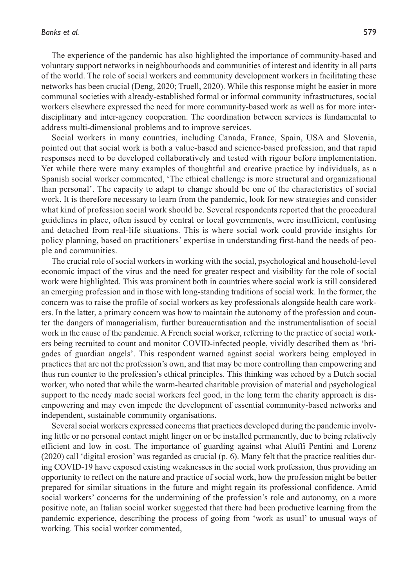The experience of the pandemic has also highlighted the importance of community-based and voluntary support networks in neighbourhoods and communities of interest and identity in all parts of the world. The role of social workers and community development workers in facilitating these networks has been crucial (Deng, 2020; Truell, 2020). While this response might be easier in more communal societies with already-established formal or informal community infrastructures, social workers elsewhere expressed the need for more community-based work as well as for more interdisciplinary and inter-agency cooperation. The coordination between services is fundamental to address multi-dimensional problems and to improve services.

Social workers in many countries, including Canada, France, Spain, USA and Slovenia, pointed out that social work is both a value-based and science-based profession, and that rapid responses need to be developed collaboratively and tested with rigour before implementation. Yet while there were many examples of thoughtful and creative practice by individuals, as a Spanish social worker commented, 'The ethical challenge is more structural and organizational than personal'. The capacity to adapt to change should be one of the characteristics of social work. It is therefore necessary to learn from the pandemic, look for new strategies and consider what kind of profession social work should be. Several respondents reported that the procedural guidelines in place, often issued by central or local governments, were insufficient, confusing and detached from real-life situations. This is where social work could provide insights for policy planning, based on practitioners' expertise in understanding first-hand the needs of people and communities.

The crucial role of social workers in working with the social, psychological and household-level economic impact of the virus and the need for greater respect and visibility for the role of social work were highlighted. This was prominent both in countries where social work is still considered an emerging profession and in those with long-standing traditions of social work. In the former, the concern was to raise the profile of social workers as key professionals alongside health care workers. In the latter, a primary concern was how to maintain the autonomy of the profession and counter the dangers of managerialism, further bureaucratisation and the instrumentalisation of social work in the cause of the pandemic. A French social worker, referring to the practice of social workers being recruited to count and monitor COVID-infected people, vividly described them as 'brigades of guardian angels'. This respondent warned against social workers being employed in practices that are not the profession's own, and that may be more controlling than empowering and thus run counter to the profession's ethical principles. This thinking was echoed by a Dutch social worker, who noted that while the warm-hearted charitable provision of material and psychological support to the needy made social workers feel good, in the long term the charity approach is disempowering and may even impede the development of essential community-based networks and independent, sustainable community organisations.

Several social workers expressed concerns that practices developed during the pandemic involving little or no personal contact might linger on or be installed permanently, due to being relatively efficient and low in cost. The importance of guarding against what Aluffi Pentini and Lorenz (2020) call 'digital erosion' was regarded as crucial (p. 6). Many felt that the practice realities during COVID-19 have exposed existing weaknesses in the social work profession, thus providing an opportunity to reflect on the nature and practice of social work, how the profession might be better prepared for similar situations in the future and might regain its professional confidence. Amid social workers' concerns for the undermining of the profession's role and autonomy, on a more positive note, an Italian social worker suggested that there had been productive learning from the pandemic experience, describing the process of going from 'work as usual' to unusual ways of working. This social worker commented,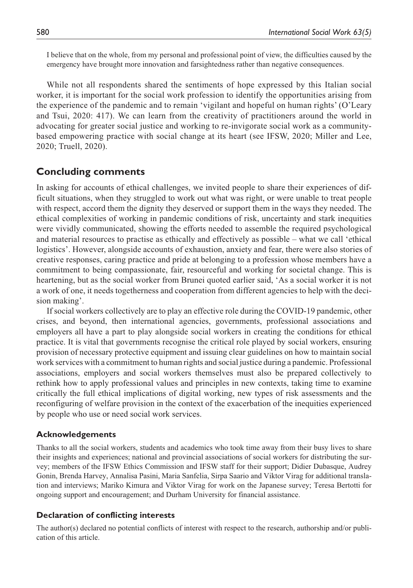I believe that on the whole, from my personal and professional point of view, the difficulties caused by the emergency have brought more innovation and farsightedness rather than negative consequences.

While not all respondents shared the sentiments of hope expressed by this Italian social worker, it is important for the social work profession to identify the opportunities arising from the experience of the pandemic and to remain 'vigilant and hopeful on human rights' (O'Leary and Tsui, 2020: 417). We can learn from the creativity of practitioners around the world in advocating for greater social justice and working to re-invigorate social work as a communitybased empowering practice with social change at its heart (see IFSW, 2020; Miller and Lee, 2020; Truell, 2020).

### **Concluding comments**

In asking for accounts of ethical challenges, we invited people to share their experiences of difficult situations, when they struggled to work out what was right, or were unable to treat people with respect, accord them the dignity they deserved or support them in the ways they needed. The ethical complexities of working in pandemic conditions of risk, uncertainty and stark inequities were vividly communicated, showing the efforts needed to assemble the required psychological and material resources to practise as ethically and effectively as possible – what we call 'ethical logistics'. However, alongside accounts of exhaustion, anxiety and fear, there were also stories of creative responses, caring practice and pride at belonging to a profession whose members have a commitment to being compassionate, fair, resourceful and working for societal change. This is heartening, but as the social worker from Brunei quoted earlier said, 'As a social worker it is not a work of one, it needs togetherness and cooperation from different agencies to help with the decision making'.

If social workers collectively are to play an effective role during the COVID-19 pandemic, other crises, and beyond, then international agencies, governments, professional associations and employers all have a part to play alongside social workers in creating the conditions for ethical practice. It is vital that governments recognise the critical role played by social workers, ensuring provision of necessary protective equipment and issuing clear guidelines on how to maintain social work services with a commitment to human rights and social justice during a pandemic. Professional associations, employers and social workers themselves must also be prepared collectively to rethink how to apply professional values and principles in new contexts, taking time to examine critically the full ethical implications of digital working, new types of risk assessments and the reconfiguring of welfare provision in the context of the exacerbation of the inequities experienced by people who use or need social work services.

#### **Acknowledgements**

Thanks to all the social workers, students and academics who took time away from their busy lives to share their insights and experiences; national and provincial associations of social workers for distributing the survey; members of the IFSW Ethics Commission and IFSW staff for their support; Didier Dubasque, Audrey Gonin, Brenda Harvey, Annalisa Pasini, Maria Sanfelia, Sirpa Saario and Viktor Virag for additional translation and interviews; Mariko Kimura and Viktor Virag for work on the Japanese survey; Teresa Bertotti for ongoing support and encouragement; and Durham University for financial assistance.

#### **Declaration of conflicting interests**

The author(s) declared no potential conflicts of interest with respect to the research, authorship and/or publication of this article.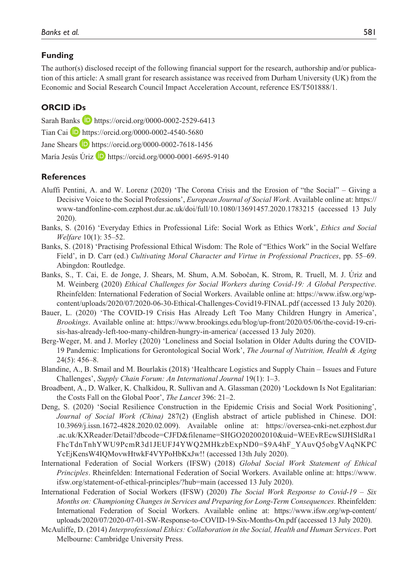#### **Funding**

The author(s) disclosed receipt of the following financial support for the research, authorship and/or publication of this article: A small grant for research assistance was received from Durham University (UK) from the Economic and Social Research Council Impact Acceleration Account, reference ES/T501888/1.

#### **ORCID iDs**

Sarah Banks D <https://orcid.org/0000-0002-2529-6413> Tian Cai **D** <https://orcid.org/0000-0002-4540-5680> Jane Shears **D** <https://orcid.org/0000-0002-7618-1456> María Jesús Úriz D <https://orcid.org/0000-0001-6695-9140>

#### **References**

- Aluffi Pentini, A. and W. Lorenz (2020) 'The Corona Crisis and the Erosion of "the Social" Giving a Decisive Voice to the Social Professions', *European Journal of Social Work*. Available online at: [https://](https://www-tandfonline-com.ezphost.dur.ac.uk/doi/full/10.1080/13691457.2020.1783215) [www-tandfonline-com.ezphost.dur.ac.uk/doi/full/10.1080/13691457.2020.1783215](https://www-tandfonline-com.ezphost.dur.ac.uk/doi/full/10.1080/13691457.2020.1783215) (accessed 13 July 2020).
- Banks, S. (2016) 'Everyday Ethics in Professional Life: Social Work as Ethics Work', *Ethics and Social Welfare* 10(1): 35–52.
- Banks, S. (2018) 'Practising Professional Ethical Wisdom: The Role of "Ethics Work" in the Social Welfare Field', in D. Carr (ed.) *Cultivating Moral Character and Virtue in Professional Practices*, pp. 55–69. Abingdon: Routledge.
- Banks, S., T. Cai, E. de Jonge, J. Shears, M. Shum, A.M. Sobočan, K. Strom, R. Truell, M. J. Úriz and M. Weinberg (2020) *Ethical Challenges for Social Workers during Covid-19: A Global Perspective*. Rheinfelden: International Federation of Social Workers. Available online at: [https://www.ifsw.org/wp](https://www.ifsw.org/wp-content/uploads/2020/07/2020-06-30-Ethical-Challenges-Covid19-FINAL.pdf)[content/uploads/2020/07/2020-06-30-Ethical-Challenges-Covid19-FINAL.pdf](https://www.ifsw.org/wp-content/uploads/2020/07/2020-06-30-Ethical-Challenges-Covid19-FINAL.pdf) (accessed 13 July 2020).
- Bauer, L. (2020) 'The COVID-19 Crisis Has Already Left Too Many Children Hungry in America', *Brookings*. Available online at: [https://www.brookings.edu/blog/up-front/2020/05/06/the-covid-19-cri](https://www.brookings.edu/blog/up-front/2020/05/06/the-covid-19-crisis-has-already-left-too-many-children-hungry-in-america/)[sis-has-already-left-too-many-children-hungry-in-america/](https://www.brookings.edu/blog/up-front/2020/05/06/the-covid-19-crisis-has-already-left-too-many-children-hungry-in-america/) (accessed 13 July 2020).
- Berg-Weger, M. and J. Morley (2020) 'Loneliness and Social Isolation in Older Adults during the COVID-19 Pandemic: Implications for Gerontological Social Work', *The Journal of Nutrition, Health & Aging* 24(5): 456–8.
- Blandine, A., B. Smail and M. Bourlakis (2018) 'Healthcare Logistics and Supply Chain Issues and Future Challenges', *Supply Chain Forum: An International Journal* 19(1): 1–3.
- Broadbent, A., D. Walker, K. Chalkidou, R. Sullivan and A. Glassman (2020) 'Lockdown Is Not Egalitarian: the Costs Fall on the Global Poor', *The Lancet* 396: 21–2.
- Deng, S. (2020) 'Social Resilience Construction in the Epidemic Crisis and Social Work Positioning', *Journal of Social Work (China)* 287(2) (English abstract of article published in Chinese. DOI: 10.3969/j.issn.1672-4828.2020.02.009). Available online at: [https://oversea-cnki-net.ezphost.dur](https://oversea-cnki-net.ezphost.dur.ac.uk/KXReader/Detail?dbcode=CJFD&filename=SHGO202002010&uid=WEEvREcwSlJHSldRa1FhcTdnTnhYWU9PcmR3d1JEUFJ4YWQ2MHkzbExpND0=$9A4hF_YAuvQ5obgVAqNKPCYcEjKensW4IQMovwHtwkF4VYPoHbKxJw!!) [.ac.uk/KXReader/Detail?dbcode=CJFD&filename=SHGO202002010&uid=WEEvREcwSlJHSldRa1](https://oversea-cnki-net.ezphost.dur.ac.uk/KXReader/Detail?dbcode=CJFD&filename=SHGO202002010&uid=WEEvREcwSlJHSldRa1FhcTdnTnhYWU9PcmR3d1JEUFJ4YWQ2MHkzbExpND0=$9A4hF_YAuvQ5obgVAqNKPCYcEjKensW4IQMovwHtwkF4VYPoHbKxJw!!) [FhcTdnTnhYWU9PcmR3d1JEUFJ4YWQ2MHkzbExpND0=\\$9A4hF\\_YAuvQ5obgVAqNKPC](https://oversea-cnki-net.ezphost.dur.ac.uk/KXReader/Detail?dbcode=CJFD&filename=SHGO202002010&uid=WEEvREcwSlJHSldRa1FhcTdnTnhYWU9PcmR3d1JEUFJ4YWQ2MHkzbExpND0=$9A4hF_YAuvQ5obgVAqNKPCYcEjKensW4IQMovwHtwkF4VYPoHbKxJw!!) [YcEjKensW4IQMovwHtwkF4VYPoHbKxJw!!](https://oversea-cnki-net.ezphost.dur.ac.uk/KXReader/Detail?dbcode=CJFD&filename=SHGO202002010&uid=WEEvREcwSlJHSldRa1FhcTdnTnhYWU9PcmR3d1JEUFJ4YWQ2MHkzbExpND0=$9A4hF_YAuvQ5obgVAqNKPCYcEjKensW4IQMovwHtwkF4VYPoHbKxJw!!) (accessed 13th July 2020).
- International Federation of Social Workers (IFSW) (2018) *Global Social Work Statement of Ethical Principles*. Rheinfelden: International Federation of Social Workers. Available online at: [https://www.](https://www.ifsw.org/statement-of-ethical-principles/?hub=main) [ifsw.org/statement-of-ethical-principles/?hub=main](https://www.ifsw.org/statement-of-ethical-principles/?hub=main) (accessed 13 July 2020).
- International Federation of Social Workers (IFSW) (2020) *The Social Work Response to Covid-19 Six Months on: Championing Changes in Services and Preparing for Long-Term Consequences*. Rheinfelden: International Federation of Social Workers. Available online at: [https://www.ifsw.org/wp-content/](https://www.ifsw.org/wp-content/uploads/2020/07/2020-07-01-SW-Response-to-COVID-19-Six-Months-On.pdf) [uploads/2020/07/2020-07-01-SW-Response-to-COVID-19-Six-Months-On.pdf](https://www.ifsw.org/wp-content/uploads/2020/07/2020-07-01-SW-Response-to-COVID-19-Six-Months-On.pdf) (accessed 13 July 2020).
- McAuliffe, D. (2014) *Interprofessional Ethics: Collaboration in the Social, Health and Human Services*. Port Melbourne: Cambridge University Press.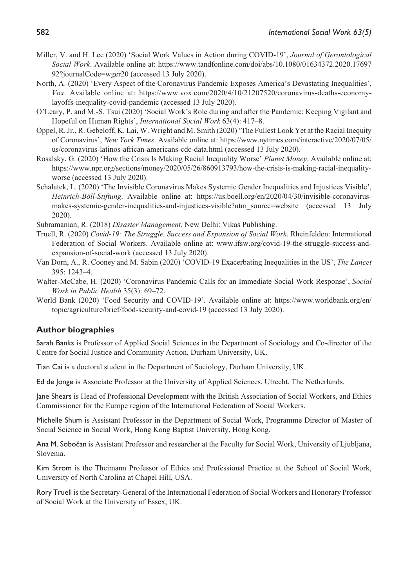- Miller, V. and H. Lee (2020) 'Social Work Values in Action during COVID-19', *Journal of Gerontological Social Work*. Available online at: [https://www.tandfonline.com/doi/abs/10.1080/01634372.2020.17697](https://www.tandfonline.com/doi/abs/10.1080/01634372.2020.1769792?journalCode=wger20) [92?journalCode=wger20](https://www.tandfonline.com/doi/abs/10.1080/01634372.2020.1769792?journalCode=wger20) (accessed 13 July 2020).
- North, A. (2020) 'Every Aspect of the Coronavirus Pandemic Exposes America's Devastating Inequalities', *Vox*. Available online at: [https://www.vox.com/2020/4/10/21207520/coronavirus-deaths-economy](https://www.vox.com/2020/4/10/21207520/coronavirus-deaths-economy-layoffs-inequality-covid-pandemic)[layoffs-inequality-covid-pandemic](https://www.vox.com/2020/4/10/21207520/coronavirus-deaths-economy-layoffs-inequality-covid-pandemic) (accessed 13 July 2020).
- O'Leary, P. and M.-S. Tsui (2020) 'Social Work's Role during and after the Pandemic: Keeping Vigilant and Hopeful on Human Rights', *International Social Work* 63(4): 417–8.
- Oppel, R. Jr., R. Gebeloff, K. Lai, W. Wright and M. Smith (2020) 'The Fullest Look Yet at the Racial Inequity of Coronavirus', *New York Times*. Available online at: [https://www.nytimes.com/interactive/2020/07/05/](https://www.nytimes.com/interactive/2020/07/05/us/coronavirus-latinos-african-americans-cdc-data.html) [us/coronavirus-latinos-african-americans-cdc-data.html](https://www.nytimes.com/interactive/2020/07/05/us/coronavirus-latinos-african-americans-cdc-data.html) (accessed 13 July 2020).
- Rosalsky, G. (2020) 'How the Crisis Is Making Racial Inequality Worse' *Planet Money*. Available online at: [https://www.npr.org/sections/money/2020/05/26/860913793/how-the-crisis-is-making-racial-inequality](https://www.npr.org/sections/money/2020/05/26/860913793/how-the-crisis-is-making-racial-inequality-worse)[worse](https://www.npr.org/sections/money/2020/05/26/860913793/how-the-crisis-is-making-racial-inequality-worse) (accessed 13 July 2020).
- Schalatek, L. (2020) 'The Invisible Coronavirus Makes Systemic Gender Inequalities and Injustices Visible', *Heinrich-Böll-Stiftung*. Available online at: [https://us.boell.org/en/2020/04/30/invisible-coronavirus](https://us.boell.org/en/2020/04/30/invisible-coronavirus-makes-systemic-gender-inequalities-and-injustices-visible?utm_source=website)[makes-systemic-gender-inequalities-and-injustices-visible?utm\\_source=website](https://us.boell.org/en/2020/04/30/invisible-coronavirus-makes-systemic-gender-inequalities-and-injustices-visible?utm_source=website) (accessed 13 July 2020).
- Subramanian, R. (2018) *Disaster Management*. New Delhi: Vikas Publishing.
- Truell, R. (2020) *Covid-19: The Struggle, Success and Expansion of Social Work*. Rheinfelden: International Federation of Social Workers. Available online at: [www.ifsw.org/covid-19-the-struggle-success-and](www.ifsw.org/covid-19-the-struggle-success-and-expansion-of-social-work)[expansion-of-social-work](www.ifsw.org/covid-19-the-struggle-success-and-expansion-of-social-work) (accessed 13 July 2020).
- Van Dorn, A., R. Cooney and M. Sabin (2020) 'COVID-19 Exacerbating Inequalities in the US', *The Lancet* 395: 1243–4.
- Walter-McCabe, H. (2020) 'Coronavirus Pandemic Calls for an Immediate Social Work Response', *Social Work in Public Health* 35(3): 69–72.
- World Bank (2020) 'Food Security and COVID-19'. Available online at: [https://www.worldbank.org/en/](https://www.worldbank.org/en/topic/agriculture/brief/food-security-and-covid-19) [topic/agriculture/brief/food-security-and-covid-19](https://www.worldbank.org/en/topic/agriculture/brief/food-security-and-covid-19) (accessed 13 July 2020).

#### **Author biographies**

Sarah Banks is Professor of Applied Social Sciences in the Department of Sociology and Co-director of the Centre for Social Justice and Community Action, Durham University, UK.

Tian Cai is a doctoral student in the Department of Sociology, Durham University, UK.

Ed de Jonge is Associate Professor at the University of Applied Sciences, Utrecht, The Netherlands.

Jane Shears is Head of Professional Development with the British Association of Social Workers, and Ethics Commissioner for the Europe region of the International Federation of Social Workers.

Michelle Shum is Assistant Professor in the Department of Social Work, Programme Director of Master of Social Science in Social Work, Hong Kong Baptist University, Hong Kong.

Ana M. Sobočan is Assistant Professor and researcher at the Faculty for Social Work, University of Ljubljana, Slovenia.

Kim Strom is the Theimann Professor of Ethics and Professional Practice at the School of Social Work, University of North Carolina at Chapel Hill, USA.

Rory Truell is the Secretary-General of the International Federation of Social Workers and Honorary Professor of Social Work at the University of Essex, UK.